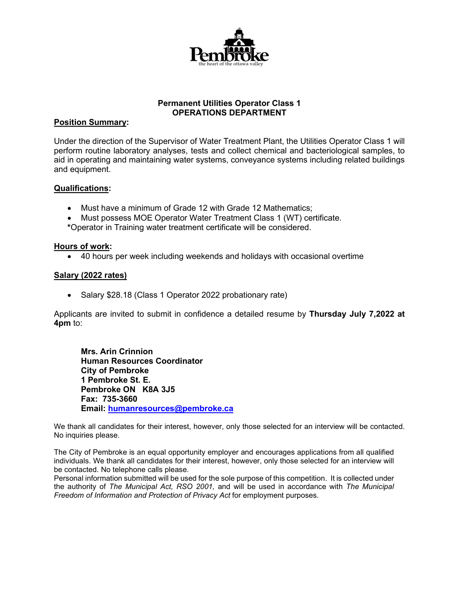

# **Permanent Utilities Operator Class 1 OPERATIONS DEPARTMENT**

### **Position Summary:**

Under the direction of the Supervisor of Water Treatment Plant, the Utilities Operator Class 1 will perform routine laboratory analyses, tests and collect chemical and bacteriological samples, to aid in operating and maintaining water systems, conveyance systems including related buildings and equipment.

## **Qualifications:**

- Must have a minimum of Grade 12 with Grade 12 Mathematics;
- Must possess MOE Operator Water Treatment Class 1 (WT) certificate.
- **\***Operator in Training water treatment certificate will be considered.

### **Hours of work:**

• 40 hours per week including weekends and holidays with occasional overtime

### **Salary (2022 rates)**

• Salary \$28.18 (Class 1 Operator 2022 probationary rate)

Applicants are invited to submit in confidence a detailed resume by **Thursday July 7,2022 at 4pm** to:

**Mrs. Arin Crinnion Human Resources Coordinator City of Pembroke 1 Pembroke St. E. Pembroke ON K8A 3J5 Fax: 735-3660 Email: [humanresources@pembroke.ca](mailto:humanresources@pembroke.ca)**

We thank all candidates for their interest, however, only those selected for an interview will be contacted. No inquiries please.

The City of Pembroke is an equal opportunity employer and encourages applications from all qualified individuals. We thank all candidates for their interest, however, only those selected for an interview will be contacted. No telephone calls please.

Personal information submitted will be used for the sole purpose of this competition. It is collected under the authority of *The Municipal Act, RSO 2001,* and will be used in accordance with *The Municipal Freedom of Information and Protection of Privacy Act* for employment purposes.